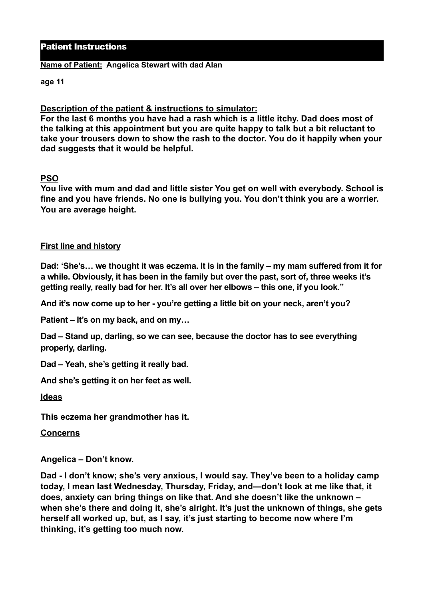## Patient Instructions

#### **Name of Patient: Angelica Stewart with dad Alan**

**age 11** 

## **Description of the patient & instructions to simulator:**

**For the last 6 months you have had a rash which is a little itchy. Dad does most of the talking at this appointment but you are quite happy to talk but a bit reluctant to take your trousers down to show the rash to the doctor. You do it happily when your dad suggests that it would be helpful.**

## **PSO**

**You live with mum and dad and little sister You get on well with everybody. School is fine and you have friends. No one is bullying you. You don't think you are a worrier. You are average height.** 

## **First line and history**

**Dad: 'She's… we thought it was eczema. It is in the family – my mam suffered from it for a while. Obviously, it has been in the family but over the past, sort of, three weeks it's getting really, really bad for her. It's all over her elbows – this one, if you look."** 

**And it's now come up to her - you're getting a little bit on your neck, aren't you?** 

**Patient – It's on my back, and on my…** 

**Dad – Stand up, darling, so we can see, because the doctor has to see everything properly, darling.** 

**Dad – Yeah, she's getting it really bad.** 

**And she's getting it on her feet as well.** 

**Ideas** 

**This eczema her grandmother has it.** 

**Concerns** 

**Angelica – Don't know.** 

**Dad - I don't know; she's very anxious, I would say. They've been to a holiday camp today, I mean last Wednesday, Thursday, Friday, and—don't look at me like that, it does, anxiety can bring things on like that. And she doesn't like the unknown – when she's there and doing it, she's alright. It's just the unknown of things, she gets herself all worked up, but, as I say, it's just starting to become now where I'm thinking, it's getting too much now.**